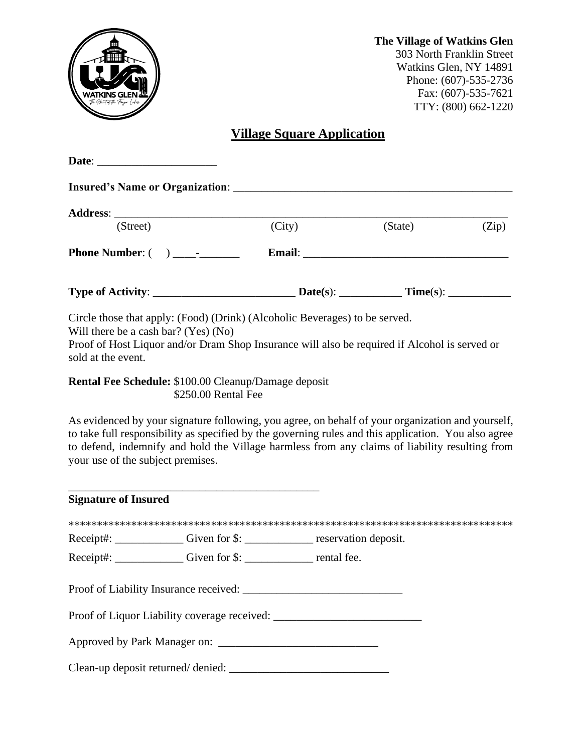

# **Village Square Application**

| (Street)                                                                                                                                                                                                                                                                                                                                         |                     | (City) | (State) | (Zip) |
|--------------------------------------------------------------------------------------------------------------------------------------------------------------------------------------------------------------------------------------------------------------------------------------------------------------------------------------------------|---------------------|--------|---------|-------|
| <b>Phone Number:</b> $\begin{pmatrix} 0 & 1 & 0 \\ 0 & 0 & 1 \end{pmatrix}$ <b>Email: Email: Email: Email: Email: Email: Email: Email: Email: Email: Email: Email: Email: Email: Email: Email: Email: Email: Email: E</b>                                                                                                                        |                     |        |         |       |
|                                                                                                                                                                                                                                                                                                                                                  |                     |        |         |       |
| Circle those that apply: (Food) (Drink) (Alcoholic Beverages) to be served.<br>Will there be a cash bar? (Yes) (No)<br>Proof of Host Liquor and/or Dram Shop Insurance will also be required if Alcohol is served or<br>sold at the event.                                                                                                       |                     |        |         |       |
| <b>Rental Fee Schedule: \$100.00 Cleanup/Damage deposit</b>                                                                                                                                                                                                                                                                                      | \$250.00 Rental Fee |        |         |       |
| As evidenced by your signature following, you agree, on behalf of your organization and yourself,<br>to take full responsibility as specified by the governing rules and this application. You also agree<br>to defend, indemnify and hold the Village harmless from any claims of liability resulting from<br>your use of the subject premises. |                     |        |         |       |
| <b>Signature of Insured</b>                                                                                                                                                                                                                                                                                                                      |                     |        |         |       |
|                                                                                                                                                                                                                                                                                                                                                  |                     |        |         |       |
| Receipt#: _____________Given for \$: _____________ reservation deposit.                                                                                                                                                                                                                                                                          |                     |        |         |       |
| Receipt#: ______________Given for \$: _________________ rental fee.                                                                                                                                                                                                                                                                              |                     |        |         |       |
|                                                                                                                                                                                                                                                                                                                                                  |                     |        |         |       |
| Proof of Liquor Liability coverage received: ___________________________________                                                                                                                                                                                                                                                                 |                     |        |         |       |
|                                                                                                                                                                                                                                                                                                                                                  |                     |        |         |       |
|                                                                                                                                                                                                                                                                                                                                                  |                     |        |         |       |